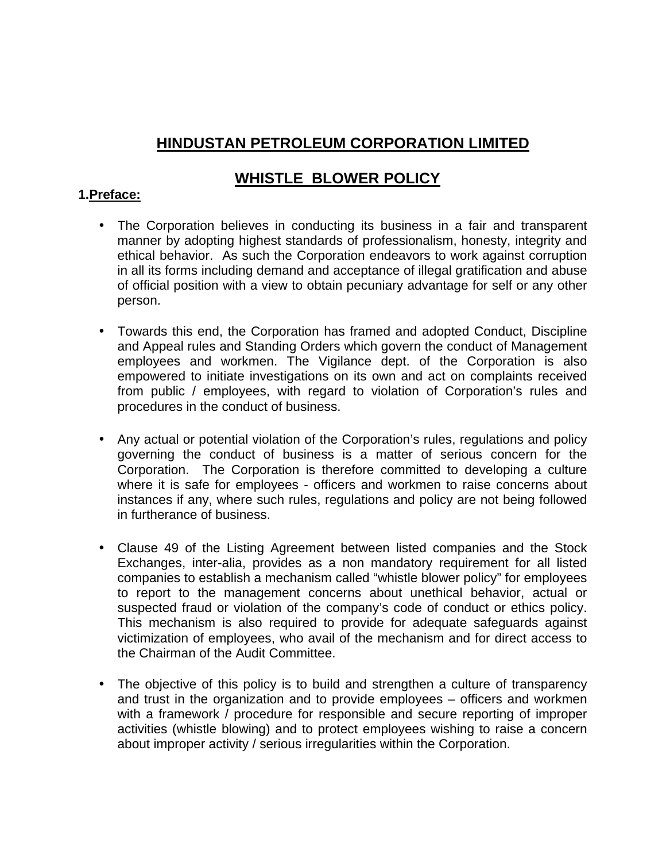# **HINDUSTAN PETROLEUM CORPORATION LIMITED**

# **WHISTLE BLOWER POLICY**

## **1.Preface:**

- The Corporation believes in conducting its business in a fair and transparent manner by adopting highest standards of professionalism, honesty, integrity and ethical behavior. As such the Corporation endeavors to work against corruption in all its forms including demand and acceptance of illegal gratification and abuse of official position with a view to obtain pecuniary advantage for self or any other person.
- Towards this end, the Corporation has framed and adopted Conduct, Discipline and Appeal rules and Standing Orders which govern the conduct of Management employees and workmen. The Vigilance dept. of the Corporation is also empowered to initiate investigations on its own and act on complaints received from public / employees, with regard to violation of Corporation's rules and procedures in the conduct of business.
- Any actual or potential violation of the Corporation's rules, regulations and policy governing the conduct of business is a matter of serious concern for the Corporation. The Corporation is therefore committed to developing a culture where it is safe for employees - officers and workmen to raise concerns about instances if any, where such rules, regulations and policy are not being followed in furtherance of business.
- Clause 49 of the Listing Agreement between listed companies and the Stock Exchanges, inter-alia, provides as a non mandatory requirement for all listed companies to establish a mechanism called "whistle blower policy" for employees to report to the management concerns about unethical behavior, actual or suspected fraud or violation of the company's code of conduct or ethics policy. This mechanism is also required to provide for adequate safeguards against victimization of employees, who avail of the mechanism and for direct access to the Chairman of the Audit Committee.
- The objective of this policy is to build and strengthen a culture of transparency and trust in the organization and to provide employees – officers and workmen with a framework / procedure for responsible and secure reporting of improper activities (whistle blowing) and to protect employees wishing to raise a concern about improper activity / serious irregularities within the Corporation.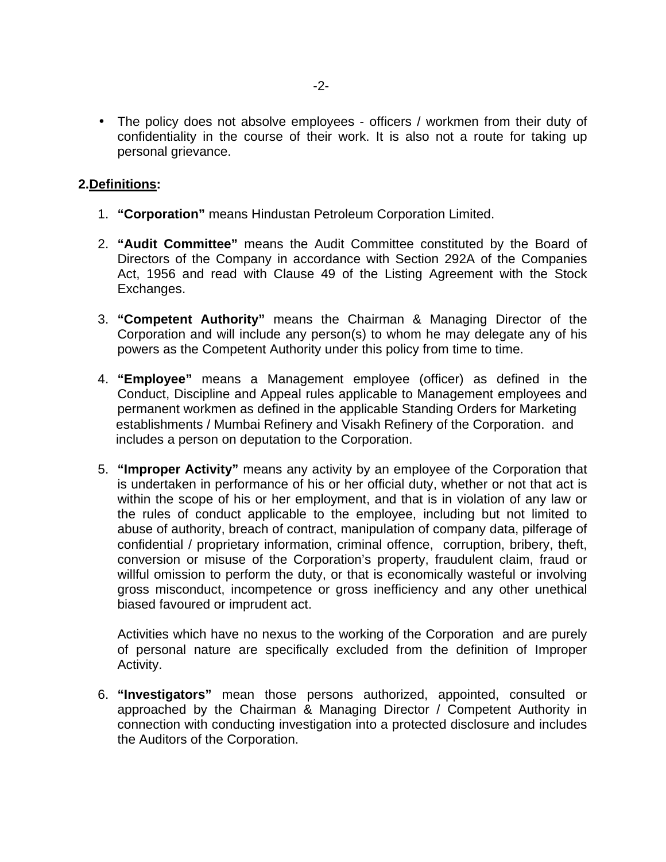• The policy does not absolve employees - officers / workmen from their duty of confidentiality in the course of their work. It is also not a route for taking up personal grievance.

### **2.Definitions:**

- 1. **"Corporation"** means Hindustan Petroleum Corporation Limited.
- 2. **"Audit Committee"** means the Audit Committee constituted by the Board of Directors of the Company in accordance with Section 292A of the Companies Act, 1956 and read with Clause 49 of the Listing Agreement with the Stock Exchanges.
- 3. **"Competent Authority"** means the Chairman & Managing Director of the Corporation and will include any person(s) to whom he may delegate any of his powers as the Competent Authority under this policy from time to time.
- 4. **"Employee"** means a Management employee (officer) as defined in the Conduct, Discipline and Appeal rules applicable to Management employees and permanent workmen as defined in the applicable Standing Orders for Marketing establishments / Mumbai Refinery and Visakh Refinery of the Corporation. and includes a person on deputation to the Corporation.
- 5. **"Improper Activity"** means any activity by an employee of the Corporation that is undertaken in performance of his or her official duty, whether or not that act is within the scope of his or her employment, and that is in violation of any law or the rules of conduct applicable to the employee, including but not limited to abuse of authority, breach of contract, manipulation of company data, pilferage of confidential / proprietary information, criminal offence, corruption, bribery, theft, conversion or misuse of the Corporation's property, fraudulent claim, fraud or willful omission to perform the duty, or that is economically wasteful or involving gross misconduct, incompetence or gross inefficiency and any other unethical biased favoured or imprudent act.

Activities which have no nexus to the working of the Corporation and are purely of personal nature are specifically excluded from the definition of Improper Activity.

6. **"Investigators"** mean those persons authorized, appointed, consulted or approached by the Chairman & Managing Director / Competent Authority in connection with conducting investigation into a protected disclosure and includes the Auditors of the Corporation.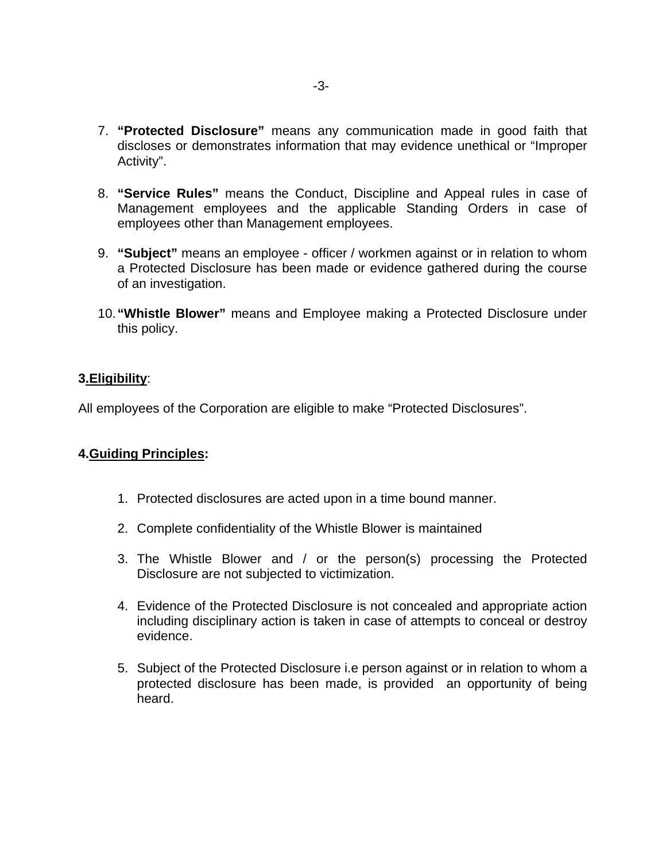- 7. **"Protected Disclosure"** means any communication made in good faith that discloses or demonstrates information that may evidence unethical or "Improper Activity".
- 8. **"Service Rules"** means the Conduct, Discipline and Appeal rules in case of Management employees and the applicable Standing Orders in case of employees other than Management employees.
- 9. **"Subject"** means an employee officer / workmen against or in relation to whom a Protected Disclosure has been made or evidence gathered during the course of an investigation.
- 10. **"Whistle Blower"** means and Employee making a Protected Disclosure under this policy.

#### **3.Eligibility**:

All employees of the Corporation are eligible to make "Protected Disclosures".

### **4.Guiding Principles:**

- 1. Protected disclosures are acted upon in a time bound manner.
- 2. Complete confidentiality of the Whistle Blower is maintained
- 3. The Whistle Blower and / or the person(s) processing the Protected Disclosure are not subjected to victimization.
- 4. Evidence of the Protected Disclosure is not concealed and appropriate action including disciplinary action is taken in case of attempts to conceal or destroy evidence.
- 5. Subject of the Protected Disclosure i.e person against or in relation to whom a protected disclosure has been made, is provided an opportunity of being heard.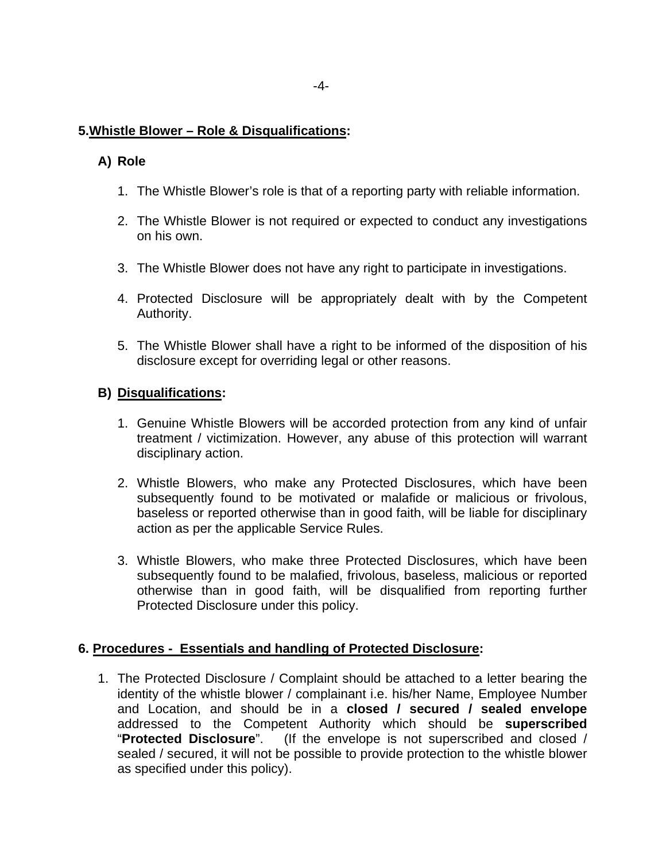## **5.Whistle Blower – Role & Disqualifications:**

## **A) Role**

- 1. The Whistle Blower's role is that of a reporting party with reliable information.
- 2. The Whistle Blower is not required or expected to conduct any investigations on his own.
- 3. The Whistle Blower does not have any right to participate in investigations.
- 4. Protected Disclosure will be appropriately dealt with by the Competent Authority.
- 5. The Whistle Blower shall have a right to be informed of the disposition of his disclosure except for overriding legal or other reasons.

## **B) Disqualifications:**

- 1. Genuine Whistle Blowers will be accorded protection from any kind of unfair treatment / victimization. However, any abuse of this protection will warrant disciplinary action.
- 2. Whistle Blowers, who make any Protected Disclosures, which have been subsequently found to be motivated or malafide or malicious or frivolous, baseless or reported otherwise than in good faith, will be liable for disciplinary action as per the applicable Service Rules.
- 3. Whistle Blowers, who make three Protected Disclosures, which have been subsequently found to be malafied, frivolous, baseless, malicious or reported otherwise than in good faith, will be disqualified from reporting further Protected Disclosure under this policy.

### **6. Procedures - Essentials and handling of Protected Disclosure:**

1. The Protected Disclosure / Complaint should be attached to a letter bearing the identity of the whistle blower / complainant i.e. his/her Name, Employee Number and Location, and should be in a **closed / secured / sealed envelope** addressed to the Competent Authority which should be **superscribed** "**Protected Disclosure**". (If the envelope is not superscribed and closed / sealed / secured, it will not be possible to provide protection to the whistle blower as specified under this policy).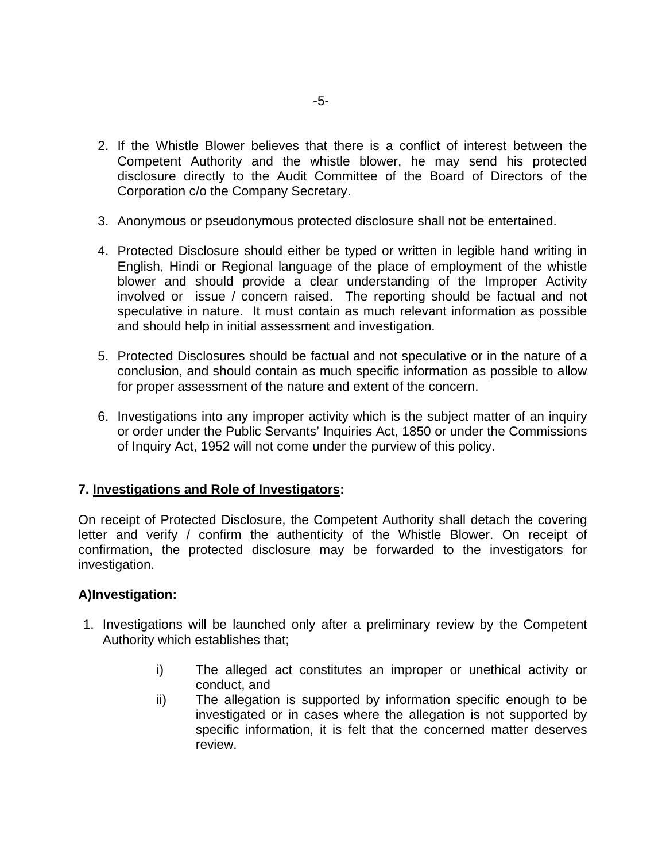- 2. If the Whistle Blower believes that there is a conflict of interest between the Competent Authority and the whistle blower, he may send his protected disclosure directly to the Audit Committee of the Board of Directors of the Corporation c/o the Company Secretary.
- 3. Anonymous or pseudonymous protected disclosure shall not be entertained.
- 4. Protected Disclosure should either be typed or written in legible hand writing in English, Hindi or Regional language of the place of employment of the whistle blower and should provide a clear understanding of the Improper Activity involved or issue / concern raised. The reporting should be factual and not speculative in nature. It must contain as much relevant information as possible and should help in initial assessment and investigation.
- 5. Protected Disclosures should be factual and not speculative or in the nature of a conclusion, and should contain as much specific information as possible to allow for proper assessment of the nature and extent of the concern.
- 6. Investigations into any improper activity which is the subject matter of an inquiry or order under the Public Servants' Inquiries Act, 1850 or under the Commissions of Inquiry Act, 1952 will not come under the purview of this policy.

# **7. Investigations and Role of Investigators:**

On receipt of Protected Disclosure, the Competent Authority shall detach the covering letter and verify / confirm the authenticity of the Whistle Blower. On receipt of confirmation, the protected disclosure may be forwarded to the investigators for investigation.

### **A)Investigation:**

- 1. Investigations will be launched only after a preliminary review by the Competent Authority which establishes that;
	- i) The alleged act constitutes an improper or unethical activity or conduct, and
	- ii) The allegation is supported by information specific enough to be investigated or in cases where the allegation is not supported by specific information, it is felt that the concerned matter deserves review.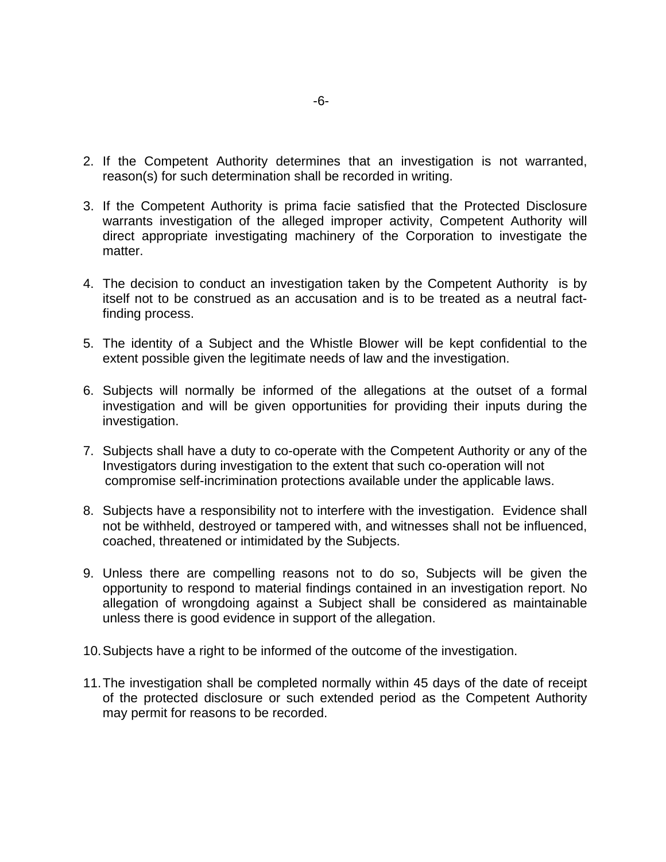- 2. If the Competent Authority determines that an investigation is not warranted, reason(s) for such determination shall be recorded in writing.
- 3. If the Competent Authority is prima facie satisfied that the Protected Disclosure warrants investigation of the alleged improper activity, Competent Authority will direct appropriate investigating machinery of the Corporation to investigate the matter.
- 4. The decision to conduct an investigation taken by the Competent Authority is by itself not to be construed as an accusation and is to be treated as a neutral factfinding process.
- 5. The identity of a Subject and the Whistle Blower will be kept confidential to the extent possible given the legitimate needs of law and the investigation.
- 6. Subjects will normally be informed of the allegations at the outset of a formal investigation and will be given opportunities for providing their inputs during the investigation.
- 7. Subjects shall have a duty to co-operate with the Competent Authority or any of the Investigators during investigation to the extent that such co-operation will not compromise self-incrimination protections available under the applicable laws.
- 8. Subjects have a responsibility not to interfere with the investigation. Evidence shall not be withheld, destroyed or tampered with, and witnesses shall not be influenced, coached, threatened or intimidated by the Subjects.
- 9. Unless there are compelling reasons not to do so, Subjects will be given the opportunity to respond to material findings contained in an investigation report. No allegation of wrongdoing against a Subject shall be considered as maintainable unless there is good evidence in support of the allegation.
- 10. Subjects have a right to be informed of the outcome of the investigation.
- 11. The investigation shall be completed normally within 45 days of the date of receipt of the protected disclosure or such extended period as the Competent Authority may permit for reasons to be recorded.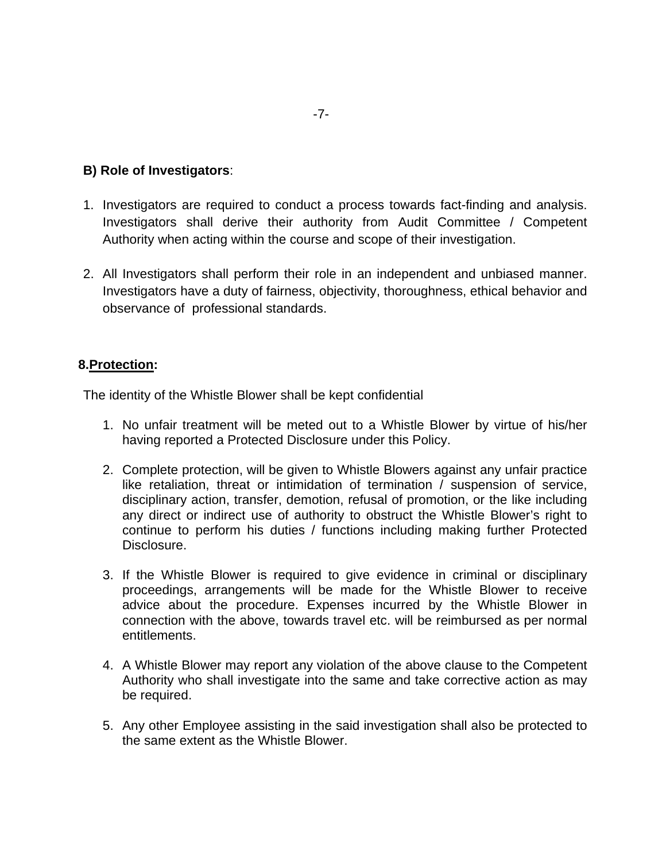## **B) Role of Investigators**:

- 1. Investigators are required to conduct a process towards fact-finding and analysis. Investigators shall derive their authority from Audit Committee / Competent Authority when acting within the course and scope of their investigation.
- 2. All Investigators shall perform their role in an independent and unbiased manner. Investigators have a duty of fairness, objectivity, thoroughness, ethical behavior and observance of professional standards.

### **8.Protection:**

The identity of the Whistle Blower shall be kept confidential

- 1. No unfair treatment will be meted out to a Whistle Blower by virtue of his/her having reported a Protected Disclosure under this Policy.
- 2. Complete protection, will be given to Whistle Blowers against any unfair practice like retaliation, threat or intimidation of termination / suspension of service, disciplinary action, transfer, demotion, refusal of promotion, or the like including any direct or indirect use of authority to obstruct the Whistle Blower's right to continue to perform his duties / functions including making further Protected Disclosure.
- 3. If the Whistle Blower is required to give evidence in criminal or disciplinary proceedings, arrangements will be made for the Whistle Blower to receive advice about the procedure. Expenses incurred by the Whistle Blower in connection with the above, towards travel etc. will be reimbursed as per normal entitlements.
- 4. A Whistle Blower may report any violation of the above clause to the Competent Authority who shall investigate into the same and take corrective action as may be required.
- 5. Any other Employee assisting in the said investigation shall also be protected to the same extent as the Whistle Blower.